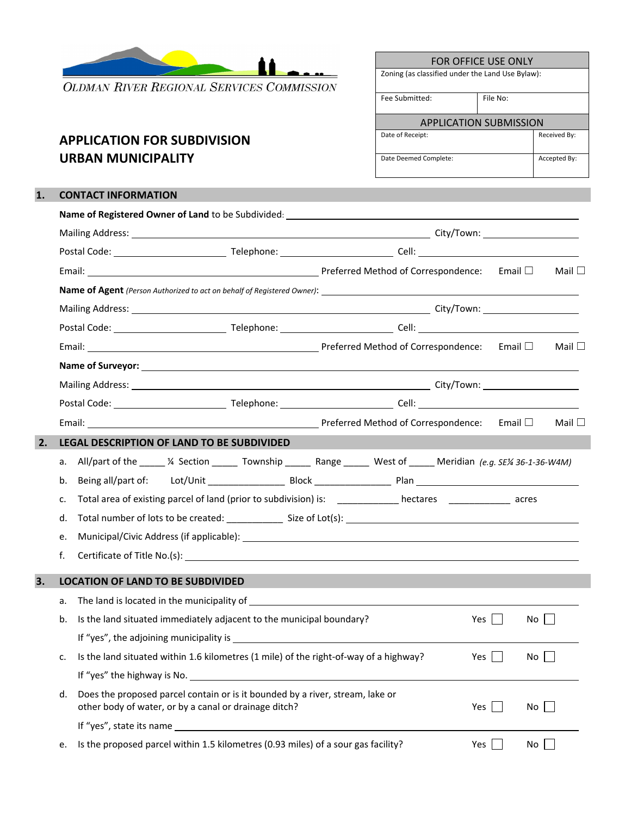

**OLDMAN RIVER REGIONAL SERVICES COMMISSION** 

## **APPLICATION FOR SUBDIVISION URBAN MUNICIPALITY**

| FOR OFFICE USE ONLY                              |          |              |  |
|--------------------------------------------------|----------|--------------|--|
| Zoning (as classified under the Land Use Bylaw): |          |              |  |
| Fee Submitted:                                   | File No: |              |  |
| <b>APPLICATION SUBMISSION</b>                    |          |              |  |
| Date of Receipt:                                 |          | Received By: |  |
| Date Deemed Complete:                            |          | Accepted By: |  |

## **1. CONTACT INFORMATION**

|    |    |                                                                                                                                                                                                                                     |  |  |            |              | Mail $\square$ |
|----|----|-------------------------------------------------------------------------------------------------------------------------------------------------------------------------------------------------------------------------------------|--|--|------------|--------------|----------------|
|    |    |                                                                                                                                                                                                                                     |  |  |            |              |                |
|    |    |                                                                                                                                                                                                                                     |  |  |            |              |                |
|    |    |                                                                                                                                                                                                                                     |  |  |            |              |                |
|    |    |                                                                                                                                                                                                                                     |  |  |            | Email $\Box$ | Mail $\square$ |
|    |    |                                                                                                                                                                                                                                     |  |  |            |              |                |
|    |    |                                                                                                                                                                                                                                     |  |  |            |              |                |
|    |    |                                                                                                                                                                                                                                     |  |  |            |              |                |
|    |    | Email: <u>Netherland Contespondence</u> : Email District Contespondence: Email District Contespondence: Email District Contespondence: Email District Contespondence: Email District Contespondence: Email District Contespondence: |  |  |            |              | Mail $\square$ |
| 2. |    | <b>LEGAL DESCRIPTION OF LAND TO BE SUBDIVIDED</b>                                                                                                                                                                                   |  |  |            |              |                |
|    |    | a. All/part of the _____ 1/4 Section ______ Township ______ Range ______ West of ______ Meridian (e.g. SE1/4 36-1-36-W4M)                                                                                                           |  |  |            |              |                |
|    | b. |                                                                                                                                                                                                                                     |  |  |            |              |                |
|    | c. | Total area of existing parcel of land (prior to subdivision) is: ____________ hectares ____________ acres                                                                                                                           |  |  |            |              |                |
|    | d. |                                                                                                                                                                                                                                     |  |  |            |              |                |
|    | e. |                                                                                                                                                                                                                                     |  |  |            |              |                |
|    | f. |                                                                                                                                                                                                                                     |  |  |            |              |                |
| 3. |    | <b>LOCATION OF LAND TO BE SUBDIVIDED</b>                                                                                                                                                                                            |  |  |            |              |                |
|    | а. |                                                                                                                                                                                                                                     |  |  |            |              |                |
|    | b. | Is the land situated immediately adjacent to the municipal boundary?                                                                                                                                                                |  |  | Yes $\Box$ | No           |                |
|    |    | If "yes", the adjoining municipality is $\frac{1}{2}$ is the set of the set of the set of the set of the set of the set of the set of the set of the set of the set of the set of the set of the set of the set of the set of the   |  |  |            |              |                |
|    | c. | Is the land situated within 1.6 kilometres (1 mile) of the right-of-way of a highway?                                                                                                                                               |  |  | Yes        | No           |                |
|    |    | If "yes" the highway is No.                                                                                                                                                                                                         |  |  |            |              |                |
|    | d. | Does the proposed parcel contain or is it bounded by a river, stream, lake or<br>other body of water, or by a canal or drainage ditch?                                                                                              |  |  | Yes $\Box$ | No           |                |
|    |    |                                                                                                                                                                                                                                     |  |  |            |              |                |
|    | e. | Is the proposed parcel within 1.5 kilometres (0.93 miles) of a sour gas facility?                                                                                                                                                   |  |  | Yes        | No           |                |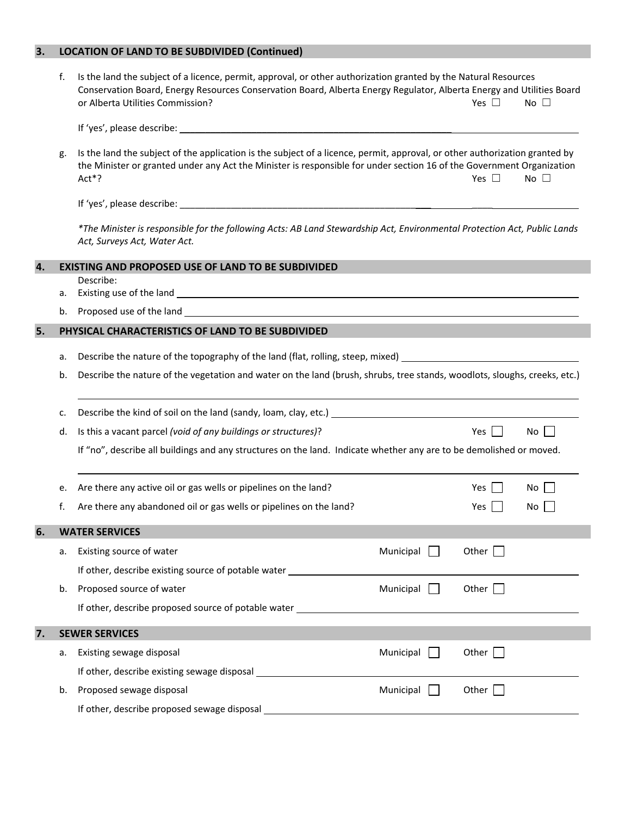## **3. LOCATION OF LAND TO BE SUBDIVIDED (Continued)**

|    | f. | Is the land the subject of a licence, permit, approval, or other authorization granted by the Natural Resources<br>Conservation Board, Energy Resources Conservation Board, Alberta Energy Regulator, Alberta Energy and Utilities Board<br>or Alberta Utilities Commission? |                  | Yes $\Box$          | No $\square$ |
|----|----|------------------------------------------------------------------------------------------------------------------------------------------------------------------------------------------------------------------------------------------------------------------------------|------------------|---------------------|--------------|
|    |    |                                                                                                                                                                                                                                                                              |                  |                     |              |
|    | g. | Is the land the subject of the application is the subject of a licence, permit, approval, or other authorization granted by<br>the Minister or granted under any Act the Minister is responsible for under section 16 of the Government Organization<br>Act*?                |                  | Yes $\square$       | No $\square$ |
|    |    |                                                                                                                                                                                                                                                                              |                  |                     |              |
|    |    | *The Minister is responsible for the following Acts: AB Land Stewardship Act, Environmental Protection Act, Public Lands<br>Act, Surveys Act, Water Act.                                                                                                                     |                  |                     |              |
| 4. |    | <b>EXISTING AND PROPOSED USE OF LAND TO BE SUBDIVIDED</b>                                                                                                                                                                                                                    |                  |                     |              |
|    | а. | Describe:                                                                                                                                                                                                                                                                    |                  |                     |              |
|    | b. |                                                                                                                                                                                                                                                                              |                  |                     |              |
| 5. |    | PHYSICAL CHARACTERISTICS OF LAND TO BE SUBDIVIDED                                                                                                                                                                                                                            |                  |                     |              |
|    |    |                                                                                                                                                                                                                                                                              |                  |                     |              |
|    | а. | Describe the nature of the topography of the land (flat, rolling, steep, mixed) ______________________________                                                                                                                                                               |                  |                     |              |
|    | b. | Describe the nature of the vegetation and water on the land (brush, shrubs, tree stands, woodlots, sloughs, creeks, etc.)                                                                                                                                                    |                  |                     |              |
|    | c. |                                                                                                                                                                                                                                                                              |                  |                     |              |
|    | d. | Is this a vacant parcel (void of any buildings or structures)?                                                                                                                                                                                                               |                  | Yes $\vert \ \vert$ | $No$         |
|    |    | If "no", describe all buildings and any structures on the land. Indicate whether any are to be demolished or moved.                                                                                                                                                          |                  |                     |              |
|    | е. | Are there any active oil or gas wells or pipelines on the land?                                                                                                                                                                                                              |                  | Yes I               | No I         |
|    | f. | Are there any abandoned oil or gas wells or pipelines on the land?                                                                                                                                                                                                           |                  | Yes.                | No           |
|    |    |                                                                                                                                                                                                                                                                              |                  |                     |              |
| 6. |    | <b>WATER SERVICES</b>                                                                                                                                                                                                                                                        |                  |                     |              |
|    | а. | Existing source of water                                                                                                                                                                                                                                                     | Municipal $\Box$ | Other $\Box$        |              |
|    |    | If other, describe existing source of potable water ____________________________                                                                                                                                                                                             |                  |                     |              |
|    | b. | Proposed source of water                                                                                                                                                                                                                                                     | Municipal $\Box$ | Other $\Box$        |              |
|    |    | If other, describe proposed source of potable water example and all the state of the state of the state of the state of the state of the state of the state of the state of the state of the state of the state of the state o                                               |                  |                     |              |
| 7. |    | <b>SEWER SERVICES</b>                                                                                                                                                                                                                                                        |                  |                     |              |
|    | а. | Existing sewage disposal                                                                                                                                                                                                                                                     | Municipal        | Other $\Box$        |              |
|    |    |                                                                                                                                                                                                                                                                              |                  |                     |              |
|    | b. | Proposed sewage disposal                                                                                                                                                                                                                                                     | Municipal        | Other $\Box$        |              |
|    |    | If other, describe proposed sewage disposal                                                                                                                                                                                                                                  |                  |                     |              |